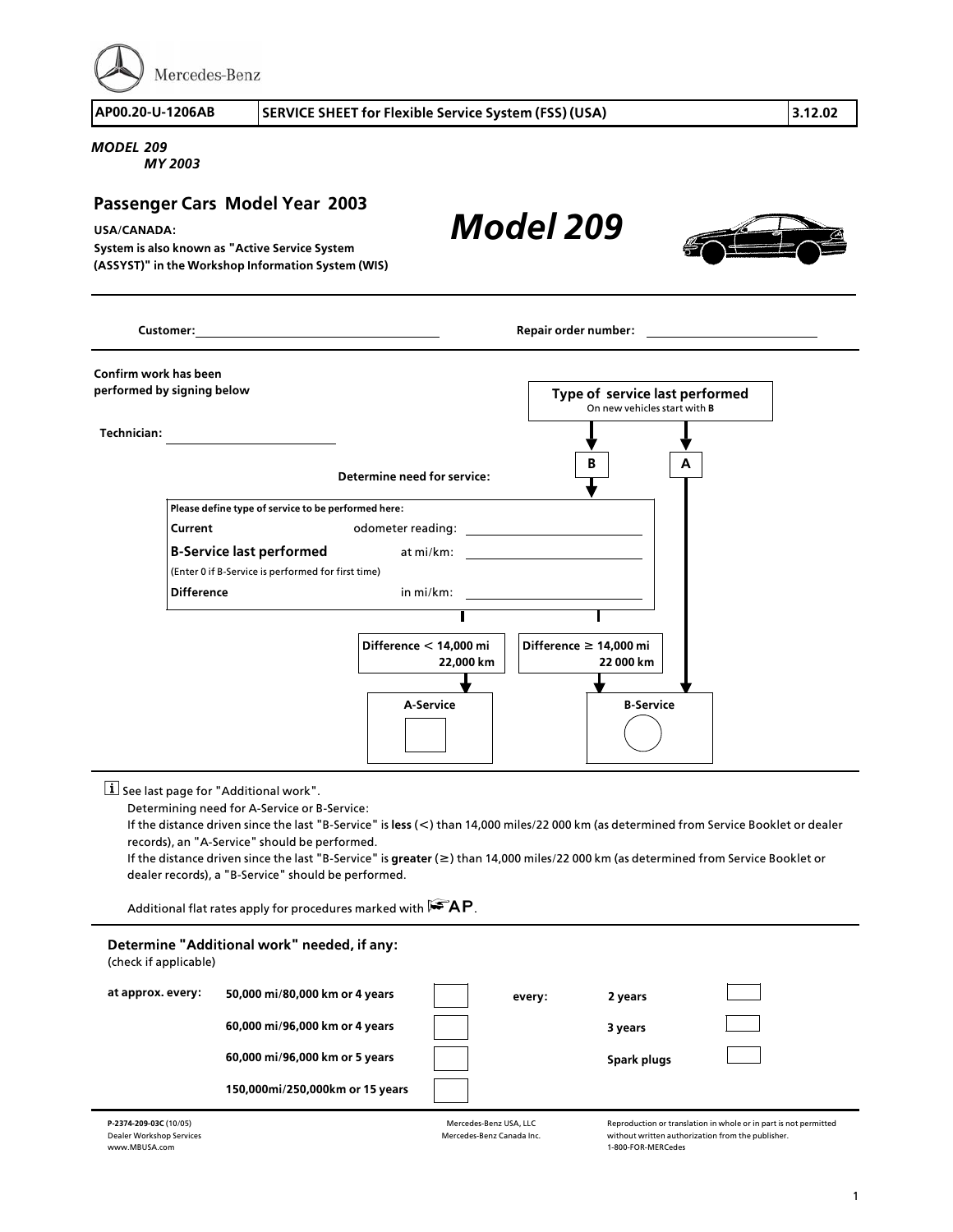Mercedes-Benz

**AP00.20>U>1206AB SERVICE SHEET for Flexible Service System (FSS) (USA) 3.12.02**

## *MODEL 209*

*MY 2003*

## **Passenger Cars Model Year 2003**

## **USA/CANADA:**

**System is also known as "Active Service System (ASSYST)" in the Workshop Information System (WIS)** *Model 209*



|                            | Customer: <u>www.community.community.community.community.com</u> |                                     | Repair order number: and the state of the state of the state of the state of the state of the state of the state of the state of the state of the state of the state of the state of the state of the state of the state of th |
|----------------------------|------------------------------------------------------------------|-------------------------------------|--------------------------------------------------------------------------------------------------------------------------------------------------------------------------------------------------------------------------------|
| Confirm work has been      |                                                                  |                                     |                                                                                                                                                                                                                                |
| performed by signing below |                                                                  |                                     | Type of service last performed<br>On new vehicles start with <b>B</b>                                                                                                                                                          |
| Technician:                |                                                                  |                                     |                                                                                                                                                                                                                                |
|                            |                                                                  | Determine need for service:         | В<br>A                                                                                                                                                                                                                         |
|                            | Please define type of service to be performed here:              |                                     |                                                                                                                                                                                                                                |
| Current                    |                                                                  |                                     |                                                                                                                                                                                                                                |
|                            |                                                                  |                                     |                                                                                                                                                                                                                                |
|                            | (Enter 0 if B-Service is performed for first time)               |                                     |                                                                                                                                                                                                                                |
|                            | <b>Difference</b>                                                |                                     | in mi/km:                                                                                                                                                                                                                      |
|                            |                                                                  |                                     |                                                                                                                                                                                                                                |
|                            |                                                                  | Difference < 14,000 mi<br>22,000 km | Difference $\geq 14,000$ mi<br>22 000 km                                                                                                                                                                                       |
|                            |                                                                  |                                     |                                                                                                                                                                                                                                |
|                            |                                                                  | A-Service                           | <b>B-Service</b>                                                                                                                                                                                                               |

 $\boxed{\mathbf{i}}$  See last page for "Additional work".

Determining need for A>Service or B>Service:

If the distance driven since the last "B>Service" is **less** (**<**) than 14,000 miles/22 000 km (as determined from Service Booklet or dealer records), an "A>Service" should be performed.

If the distance driven since the last "B>Service" is **greater** (**f**) than 14,000 miles/22 000 km (as determined from Service Booklet or dealer records), a "B>Service" should be performed.

Additional flat rates apply for procedures marked with  $\mathbf{FAP}$ .

| Determine "Additional work" needed, if any:<br>(check if applicable) |                                 |  |        |             |  |  |  |  |
|----------------------------------------------------------------------|---------------------------------|--|--------|-------------|--|--|--|--|
| at approx. every:                                                    | 50,000 mi/80,000 km or 4 years  |  | every: | 2 years     |  |  |  |  |
|                                                                      | 60,000 mi/96,000 km or 4 years  |  |        | 3 years     |  |  |  |  |
|                                                                      | 60,000 mi/96,000 km or 5 years  |  |        | Spark plugs |  |  |  |  |
|                                                                      | 150,000mi/250,000km or 15 years |  |        |             |  |  |  |  |
|                                                                      |                                 |  |        |             |  |  |  |  |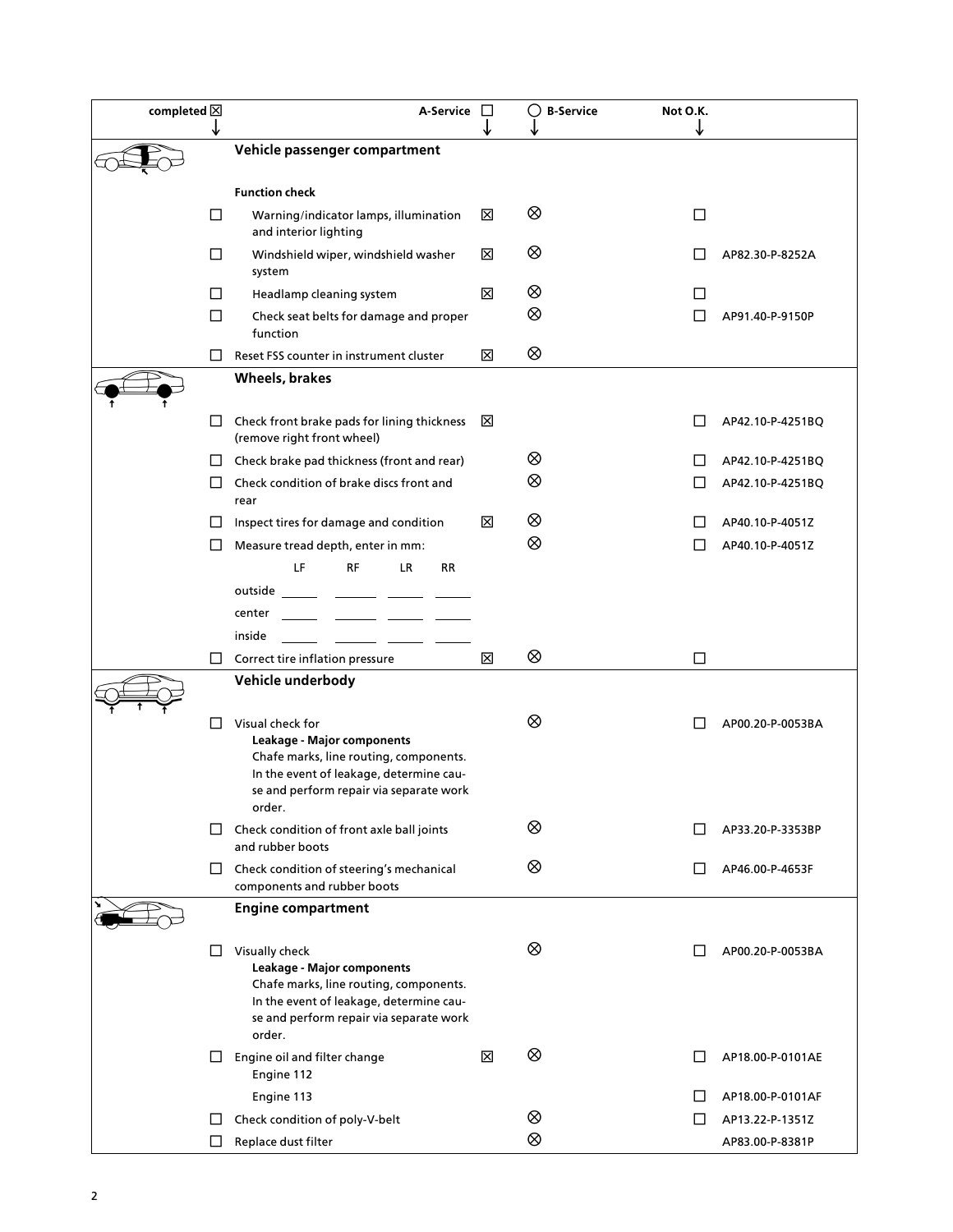| completed $\boxtimes$ |        | A-Service                                                                                                                                                                                | $\Box$ | <b>B-Service</b> | Not O.K. |                  |
|-----------------------|--------|------------------------------------------------------------------------------------------------------------------------------------------------------------------------------------------|--------|------------------|----------|------------------|
|                       |        | Vehicle passenger compartment                                                                                                                                                            |        |                  |          |                  |
|                       |        |                                                                                                                                                                                          |        |                  |          |                  |
|                       | □      | <b>Function check</b><br>Warning/indicator lamps, illumination                                                                                                                           | ⊠      | ⊗                | □        |                  |
|                       |        | and interior lighting                                                                                                                                                                    |        |                  |          |                  |
|                       | □      | Windshield wiper, windshield washer<br>system                                                                                                                                            | ⊠      | ⊗                |          | AP82.30-P-8252A  |
|                       | П      | Headlamp cleaning system                                                                                                                                                                 | ⊠      | ⊗                | L        |                  |
|                       | $\Box$ | Check seat belts for damage and proper<br>function                                                                                                                                       |        | ⊗                | $\Box$   | AP91.40-P-9150P  |
|                       | П      | Reset FSS counter in instrument cluster                                                                                                                                                  | ⊠      | ⊗                |          |                  |
|                       |        | Wheels, brakes                                                                                                                                                                           |        |                  |          |                  |
|                       | ⊔      | Check front brake pads for lining thickness<br>(remove right front wheel)                                                                                                                | ⊠      |                  |          | AP42.10-P-4251BQ |
|                       | $\Box$ | Check brake pad thickness (front and rear)                                                                                                                                               |        | ⊗                |          | AP42.10-P-4251BQ |
|                       | $\Box$ | Check condition of brake discs front and<br>rear                                                                                                                                         |        | ⊗                |          | AP42.10-P-4251BQ |
|                       | ⊔      | Inspect tires for damage and condition                                                                                                                                                   | ⊠      | ⊗                |          | AP40.10-P-4051Z  |
|                       | П      | Measure tread depth, enter in mm:                                                                                                                                                        |        | ⊗                |          | AP40.10-P-4051Z  |
|                       |        | LF<br><b>RF</b><br><b>RR</b><br>LR.                                                                                                                                                      |        |                  |          |                  |
|                       |        | outside                                                                                                                                                                                  |        |                  |          |                  |
|                       |        | center                                                                                                                                                                                   |        |                  |          |                  |
|                       | $\Box$ | inside<br>Correct tire inflation pressure                                                                                                                                                | ⊠      | ⊗                | $\Box$   |                  |
|                       |        | Vehicle underbody                                                                                                                                                                        |        |                  |          |                  |
|                       |        |                                                                                                                                                                                          |        |                  |          |                  |
|                       | L      | Visual check for<br>Leakage - Major components<br>Chafe marks, line routing, components.<br>In the event of leakage, determine cau-<br>se and perform repair via separate work<br>order. |        | ⊗                |          | AP00.20-P-0053BA |
|                       | ⊔      | Check condition of front axle ball joints<br>and rubber boots                                                                                                                            |        | ⊗                |          | AP33.20-P-3353BP |
|                       | ⊔      | Check condition of steering's mechanical<br>components and rubber boots                                                                                                                  |        | ⊗                |          | AP46.00-P-4653F  |
|                       |        | <b>Engine compartment</b>                                                                                                                                                                |        |                  |          |                  |
|                       | ப      | Visually check<br>Leakage - Major components<br>Chafe marks, line routing, components.<br>In the event of leakage, determine cau-<br>se and perform repair via separate work<br>order.   |        | ⊗                |          | AP00.20-P-0053BA |
|                       | □      | Engine oil and filter change<br>Engine 112                                                                                                                                               | ⊠      | ⊗                |          | AP18.00-P-0101AE |
|                       |        | Engine 113                                                                                                                                                                               |        |                  |          | AP18.00-P-0101AF |
|                       | ⊔      | Check condition of poly-V-belt                                                                                                                                                           |        | ⊗                | Ш        | AP13.22-P-1351Z  |
|                       | $\Box$ | Replace dust filter                                                                                                                                                                      |        | ⊗                |          | AP83.00-P-8381P  |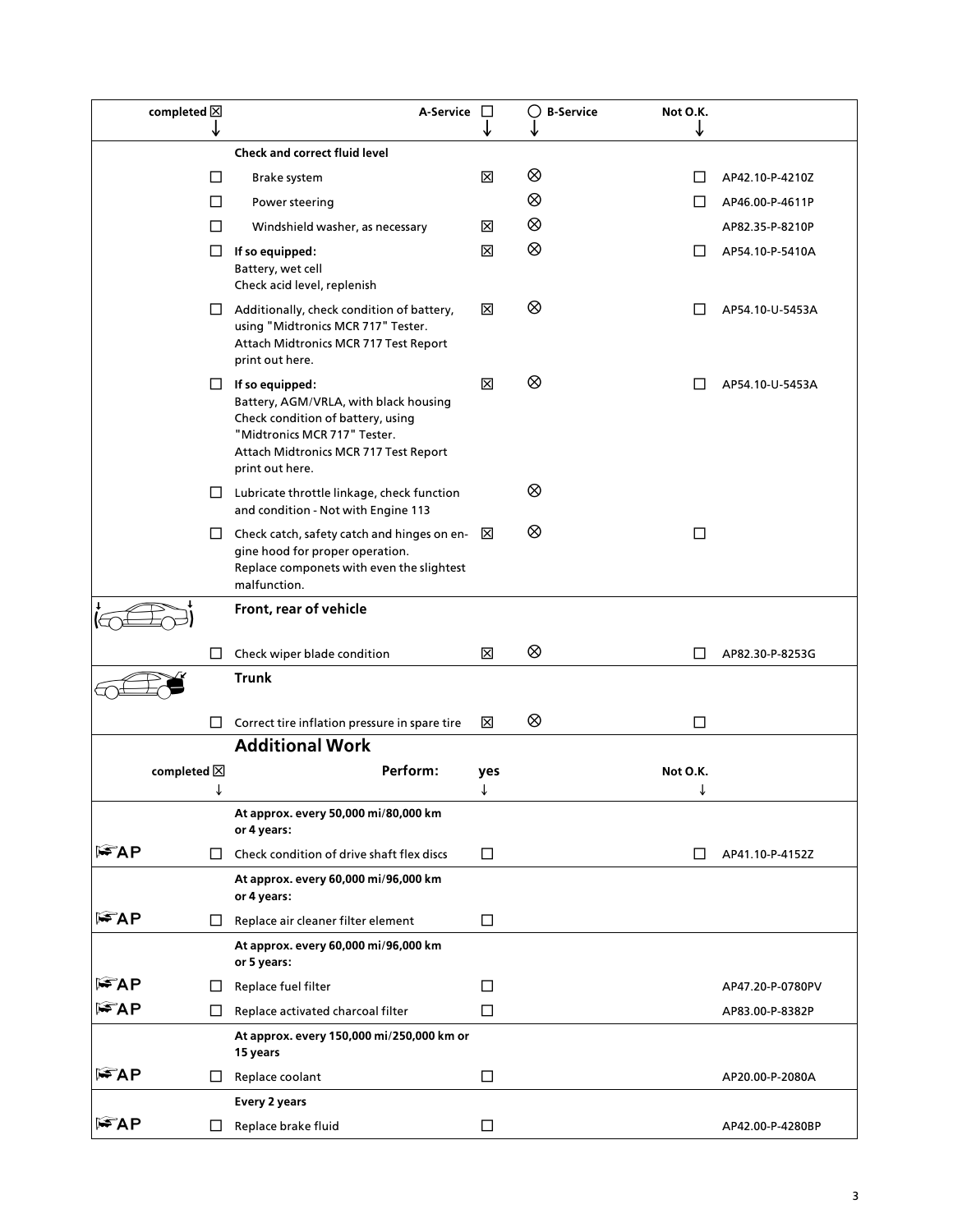| completed $\boxtimes$ | ↓      | A-Service $\Box$                                                                                                                                                                                 | ↓      | O<br><b>B-Service</b> | Not O.K.<br>↓ |                  |
|-----------------------|--------|--------------------------------------------------------------------------------------------------------------------------------------------------------------------------------------------------|--------|-----------------------|---------------|------------------|
|                       |        | <b>Check and correct fluid level</b>                                                                                                                                                             |        |                       |               |                  |
|                       | $\Box$ | Brake system                                                                                                                                                                                     | ⊠      | ⊗                     | ΙI            | AP42.10-P-4210Z  |
|                       | □      | Power steering                                                                                                                                                                                   |        | ⊗                     |               | AP46.00-P-4611P  |
|                       | □      | Windshield washer, as necessary                                                                                                                                                                  | ⊠      | ⊗                     |               | AP82.35-P-8210P  |
|                       | $\Box$ | If so equipped:<br>Battery, wet cell<br>Check acid level, replenish                                                                                                                              | ⊠      | ⊗                     |               | AP54.10-P-5410A  |
|                       | ⊔      | Additionally, check condition of battery,<br>using "Midtronics MCR 717" Tester.<br>Attach Midtronics MCR 717 Test Report<br>print out here.                                                      | ⊠      | ⊗                     |               | AP54.10-U-5453A  |
|                       |        | $\Box$ If so equipped:<br>Battery, AGM/VRLA, with black housing<br>Check condition of battery, using<br>"Midtronics MCR 717" Tester.<br>Attach Midtronics MCR 717 Test Report<br>print out here. | ⊠      | ⊗                     |               | AP54.10-U-5453A  |
|                       | ப      | Lubricate throttle linkage, check function<br>and condition - Not with Engine 113                                                                                                                |        | ⊗                     |               |                  |
|                       | ⊔      | Check catch, safety catch and hinges on en- $\boxtimes$<br>gine hood for proper operation.<br>Replace componets with even the slightest<br>malfunction.                                          |        | ⊗                     | □             |                  |
|                       |        | Front, rear of vehicle                                                                                                                                                                           |        |                       |               |                  |
|                       | □      | Check wiper blade condition                                                                                                                                                                      | ⊠      | ⊗                     | Ш             | AP82.30-P-8253G  |
|                       |        | <b>Trunk</b>                                                                                                                                                                                     |        |                       |               |                  |
|                       | $\Box$ | Correct tire inflation pressure in spare tire                                                                                                                                                    | ⊠      | ⊗                     | □             |                  |
|                       |        | <b>Additional Work</b>                                                                                                                                                                           |        |                       |               |                  |
| completed $\boxtimes$ |        | Perform:                                                                                                                                                                                         | yes    |                       | Not O.K.      |                  |
|                       |        | At approx. every 50,000 mi/80,000 km<br>or 4 years:                                                                                                                                              |        |                       |               |                  |
| l FAP                 | □      | Check condition of drive shaft flex discs                                                                                                                                                        | $\Box$ |                       | П             | AP41.10-P-4152Z  |
|                       |        | At approx. every 60,000 mi/96,000 km<br>or 4 years:                                                                                                                                              |        |                       |               |                  |
| l FAP                 | ப      | Replace air cleaner filter element                                                                                                                                                               | □      |                       |               |                  |
|                       |        | At approx. every 60,000 mi/96,000 km<br>or 5 years:                                                                                                                                              |        |                       |               |                  |
| l¥AP                  | ப      | Replace fuel filter                                                                                                                                                                              | $\Box$ |                       |               | AP47.20-P-0780PV |
| l FAP                 | □      | Replace activated charcoal filter                                                                                                                                                                | $\Box$ |                       |               | AP83.00-P-8382P  |
|                       |        | At approx. every 150,000 mi/250,000 km or<br>15 years                                                                                                                                            |        |                       |               |                  |
| l FAP                 | ⊔      | Replace coolant                                                                                                                                                                                  | $\Box$ |                       |               | AP20.00-P-2080A  |
|                       |        | Every 2 years                                                                                                                                                                                    |        |                       |               |                  |
| $\mathbb{F}$ AP       | ப      | Replace brake fluid                                                                                                                                                                              | □      |                       |               | AP42.00-P-4280BP |